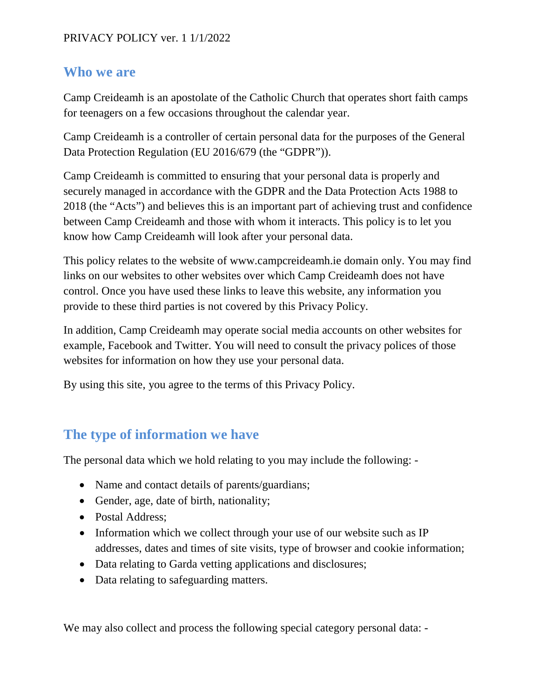#### **Who we are**

Camp Creideamh is an apostolate of the Catholic Church that operates short faith camps for teenagers on a few occasions throughout the calendar year.

Camp Creideamh is a controller of certain personal data for the purposes of the General Data Protection Regulation (EU 2016/679 (the "GDPR")).

Camp Creideamh is committed to ensuring that your personal data is properly and securely managed in accordance with the GDPR and the Data Protection Acts 1988 to 2018 (the "Acts") and believes this is an important part of achieving trust and confidence between Camp Creideamh and those with whom it interacts. This policy is to let you know how Camp Creideamh will look after your personal data.

This policy relates to the website of www.campcreideamh.ie domain only. You may find links on our websites to other websites over which Camp Creideamh does not have control. Once you have used these links to leave this website, any information you provide to these third parties is not covered by this Privacy Policy.

In addition, Camp Creideamh may operate social media accounts on other websites for example, Facebook and Twitter. You will need to consult the privacy polices of those websites for information on how they use your personal data.

By using this site, you agree to the terms of this Privacy Policy.

### **The type of information we have**

The personal data which we hold relating to you may include the following: -

- Name and contact details of parents/guardians;
- Gender, age, date of birth, nationality;
- Postal Address;
- Information which we collect through your use of our website such as IP addresses, dates and times of site visits, type of browser and cookie information;
- Data relating to Garda vetting applications and disclosures;
- Data relating to safeguarding matters.

We may also collect and process the following special category personal data: -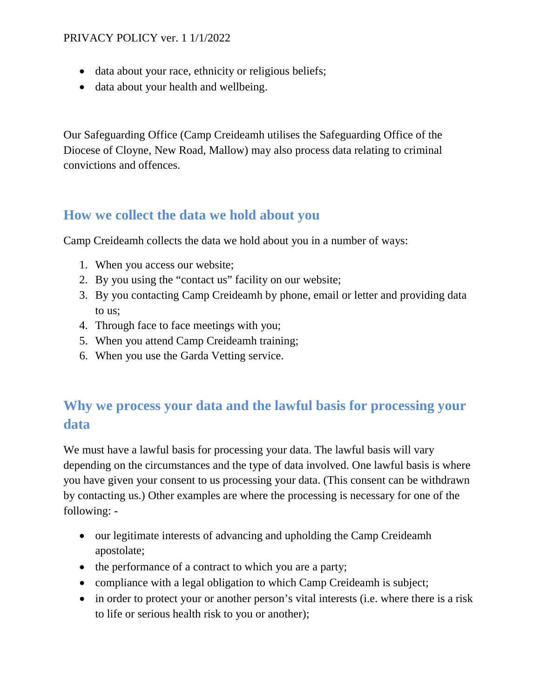- data about your race, ethnicity or religious beliefs;
- data about your health and wellbeing.

Our Safeguarding Office (Camp Creideamh utilises the Safeguarding Office of the Diocese of Cloyne, New Road, Mallow) may also process data relating to criminal convictions and offences.

### **How we collect the data we hold about you**

Camp Creideamh collects the data we hold about you in a number of ways:

- 1. When you access our website;
- 2. By you using the "contact us" facility on our website;
- 3. By you contacting Camp Creideamh by phone, email or letter and providing data to us;
- 4. Through face to face meetings with you;
- 5. When you attend Camp Creideamh training;
- 6. When you use the Garda Vetting service.

## **Why we process your data and the lawful basis for processing your data**

We must have a lawful basis for processing your data. The lawful basis will vary depending on the circumstances and the type of data involved. One lawful basis is where you have given your consent to us processing your data. (This consent can be withdrawn by contacting us.) Other examples are where the processing is necessary for one of the following: -

- our legitimate interests of advancing and upholding the Camp Creideamh apostolate;
- the performance of a contract to which you are a party;
- compliance with a legal obligation to which Camp Creideamh is subject;
- in order to protect your or another person's vital interests (i.e. where there is a risk to life or serious health risk to you or another);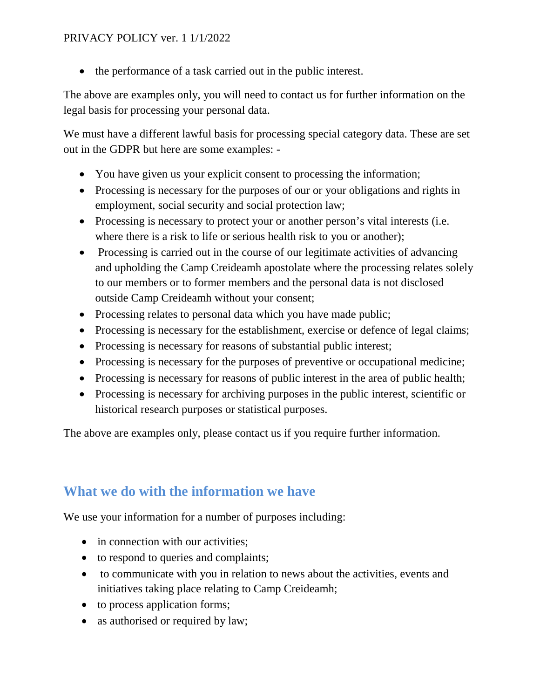• the performance of a task carried out in the public interest.

The above are examples only, you will need to contact us for further information on the legal basis for processing your personal data.

We must have a different lawful basis for processing special category data. These are set out in the GDPR but here are some examples: -

- You have given us your explicit consent to processing the information;
- Processing is necessary for the purposes of our or your obligations and rights in employment, social security and social protection law;
- Processing is necessary to protect your or another person's vital interests (i.e. where there is a risk to life or serious health risk to you or another);
- Processing is carried out in the course of our legitimate activities of advancing and upholding the Camp Creideamh apostolate where the processing relates solely to our members or to former members and the personal data is not disclosed outside Camp Creideamh without your consent;
- Processing relates to personal data which you have made public;
- Processing is necessary for the establishment, exercise or defence of legal claims;
- Processing is necessary for reasons of substantial public interest;
- Processing is necessary for the purposes of preventive or occupational medicine;
- Processing is necessary for reasons of public interest in the area of public health;
- Processing is necessary for archiving purposes in the public interest, scientific or historical research purposes or statistical purposes.

The above are examples only, please contact us if you require further information.

### **What we do with the information we have**

We use your information for a number of purposes including:

- in connection with our activities:
- to respond to queries and complaints;
- to communicate with you in relation to news about the activities, events and initiatives taking place relating to Camp Creideamh;
- to process application forms;
- as authorised or required by law;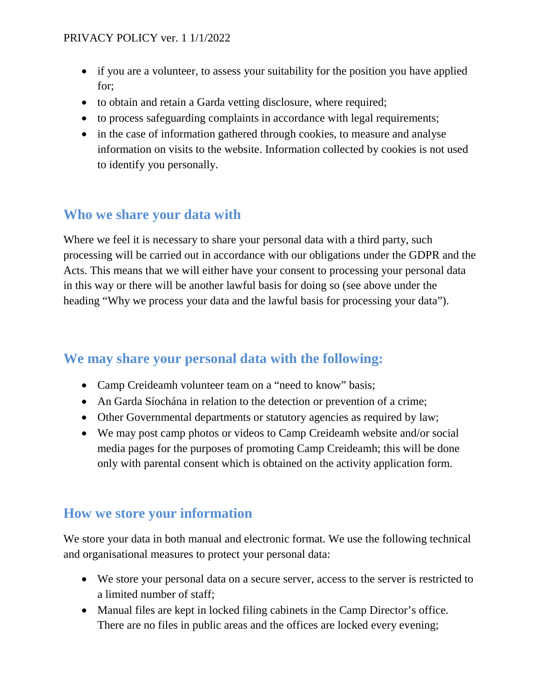- if you are a volunteer, to assess your suitability for the position you have applied for;
- to obtain and retain a Garda vetting disclosure, where required;
- to process safeguarding complaints in accordance with legal requirements;
- in the case of information gathered through cookies, to measure and analyse information on visits to the website. Information collected by cookies is not used to identify you personally.

## **Who we share your data with**

Where we feel it is necessary to share your personal data with a third party, such processing will be carried out in accordance with our obligations under the GDPR and the Acts. This means that we will either have your consent to processing your personal data in this way or there will be another lawful basis for doing so (see above under the heading "Why we process your data and the lawful basis for processing your data").

### **We may share your personal data with the following:**

- Camp Creideamh volunteer team on a "need to know" basis;
- An Garda Síochána in relation to the detection or prevention of a crime;
- Other Governmental departments or statutory agencies as required by law;
- We may post camp photos or videos to Camp Creideamh website and/or social media pages for the purposes of promoting Camp Creideamh; this will be done only with parental consent which is obtained on the activity application form.

#### **How we store your information**

We store your data in both manual and electronic format. We use the following technical and organisational measures to protect your personal data:

- We store your personal data on a secure server, access to the server is restricted to a limited number of staff;
- Manual files are kept in locked filing cabinets in the Camp Director's office. There are no files in public areas and the offices are locked every evening;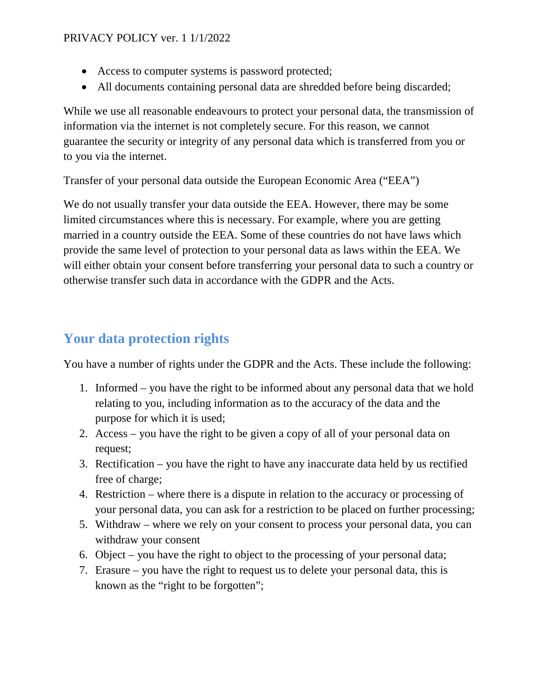- Access to computer systems is password protected;
- All documents containing personal data are shredded before being discarded;

While we use all reasonable endeavours to protect your personal data, the transmission of information via the internet is not completely secure. For this reason, we cannot guarantee the security or integrity of any personal data which is transferred from you or to you via the internet.

Transfer of your personal data outside the European Economic Area ("EEA")

We do not usually transfer your data outside the EEA. However, there may be some limited circumstances where this is necessary. For example, where you are getting married in a country outside the EEA. Some of these countries do not have laws which provide the same level of protection to your personal data as laws within the EEA. We will either obtain your consent before transferring your personal data to such a country or otherwise transfer such data in accordance with the GDPR and the Acts.

## **Your data protection rights**

You have a number of rights under the GDPR and the Acts. These include the following:

- 1. Informed you have the right to be informed about any personal data that we hold relating to you, including information as to the accuracy of the data and the purpose for which it is used;
- 2. Access you have the right to be given a copy of all of your personal data on request;
- 3. Rectification you have the right to have any inaccurate data held by us rectified free of charge;
- 4. Restriction where there is a dispute in relation to the accuracy or processing of your personal data, you can ask for a restriction to be placed on further processing;
- 5. Withdraw where we rely on your consent to process your personal data, you can withdraw your consent
- 6. Object you have the right to object to the processing of your personal data;
- 7. Erasure you have the right to request us to delete your personal data, this is known as the "right to be forgotten";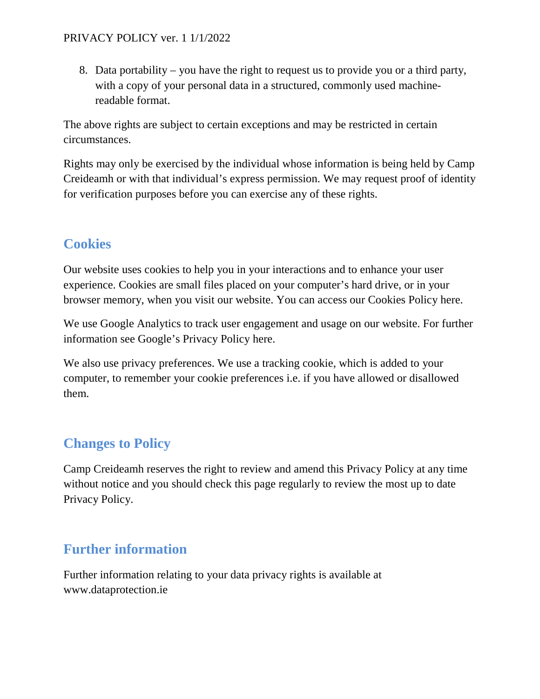8. Data portability – you have the right to request us to provide you or a third party, with a copy of your personal data in a structured, commonly used machinereadable format.

The above rights are subject to certain exceptions and may be restricted in certain circumstances.

Rights may only be exercised by the individual whose information is being held by Camp Creideamh or with that individual's express permission. We may request proof of identity for verification purposes before you can exercise any of these rights.

## **Cookies**

Our website uses cookies to help you in your interactions and to enhance your user experience. Cookies are small files placed on your computer's hard drive, or in your browser memory, when you visit our website. You can access our Cookies Policy here.

We use Google Analytics to track user engagement and usage on our website. For further information see Google's Privacy Policy here.

We also use privacy preferences. We use a tracking cookie, which is added to your computer, to remember your cookie preferences i.e. if you have allowed or disallowed them.

# **Changes to Policy**

Camp Creideamh reserves the right to review and amend this Privacy Policy at any time without notice and you should check this page regularly to review the most up to date Privacy Policy.

## **Further information**

Further information relating to your data privacy rights is available at www.dataprotection.ie